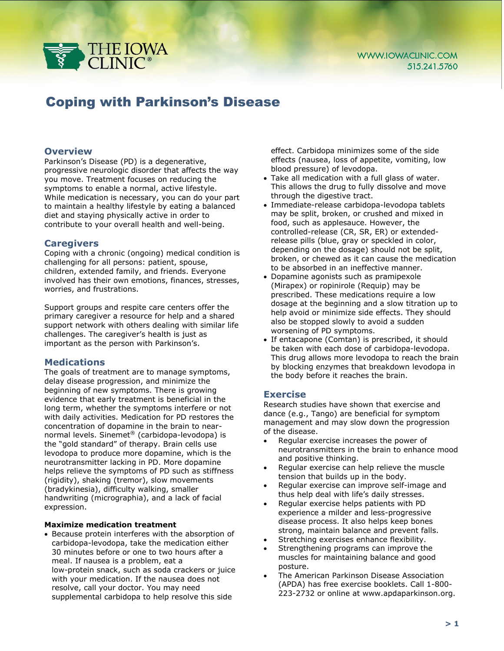

# Coping with Parkinson's Disease

## **Overview**

Parkinson's Disease (PD) is a degenerative, progressive neurologic disorder that affects the way you move. Treatment focuses on reducing the symptoms to enable a normal, active lifestyle. While medication is necessary, you can do your part to maintain a healthy lifestyle by eating a balanced diet and staying physically active in order to contribute to your overall health and well-being.

## **Caregivers**

Coping with a chronic (ongoing) medical condition is challenging for all persons: patient, spouse, children, extended family, and friends. Everyone involved has their own emotions, finances, stresses, worries, and frustrations.

Support groups and respite care centers offer the primary caregiver a resource for help and a shared support network with others dealing with similar life challenges. The caregiver's health is just as important as the person with Parkinson's.

## **Medications**

The goals of treatment are to manage symptoms, delay disease progression, and minimize the beginning of new symptoms. There is growing evidence that early treatment is beneficial in the long term, whether the symptoms interfere or not with daily activities. Medication for PD restores the concentration of dopamine in the brain to nearnormal levels. Sinemet® (carbidopa-levodopa) is the "gold standard" of therapy. Brain cells use levodopa to produce more dopamine, which is the neurotransmitter lacking in PD. More dopamine helps relieve the symptoms of PD such as stiffness (rigidity), shaking (tremor), slow movements (bradykinesia), difficulty walking, smaller handwriting (micrographia), and a lack of facial expression.

#### **Maximize medication treatment**

• Because protein interferes with the absorption of carbidopa-levodopa, take the medication either 30 minutes before or one to two hours after a meal. If nausea is a problem, eat a low-protein snack, such as soda crackers or juice with your medication. If the nausea does not resolve, call your doctor. You may need supplemental carbidopa to help resolve this side

effect. Carbidopa minimizes some of the side effects (nausea, loss of appetite, vomiting, low blood pressure) of levodopa.

- Take all medication with a full glass of water. This allows the drug to fully dissolve and move through the digestive tract.
- Immediate-release carbidopa-levodopa tablets may be split, broken, or crushed and mixed in food, such as applesauce. However, the controlled-release (CR, SR, ER) or extendedrelease pills (blue, gray or speckled in color, depending on the dosage) should not be split, broken, or chewed as it can cause the medication to be absorbed in an ineffective manner.
- Dopamine agonists such as pramipexole (Mirapex) or ropinirole (Requip) may be prescribed. These medications require a low dosage at the beginning and a slow titration up to help avoid or minimize side effects. They should also be stopped slowly to avoid a sudden worsening of PD symptoms.
- If entacapone (Comtan) is prescribed, it should be taken with each dose of carbidopa-levodopa. This drug allows more levodopa to reach the brain by blocking enzymes that breakdown levodopa in the body before it reaches the brain.

## **Exercise**

Research studies have shown that exercise and dance (e.g., Tango) are beneficial for symptom management and may slow down the progression of the disease.

- Regular exercise increases the power of neurotransmitters in the brain to enhance mood and positive thinking.
- Regular exercise can help relieve the muscle tension that builds up in the body.
- Regular exercise can improve self-image and thus help deal with life's daily stresses.
- Regular exercise helps patients with PD experience a milder and less-progressive disease process. It also helps keep bones strong, maintain balance and prevent falls.
- Stretching exercises enhance flexibility.
- Strengthening programs can improve the muscles for maintaining balance and good posture.
- The American Parkinson Disease Association (APDA) has free exercise booklets. Call 1-800- 223-2732 or online at www.apdaparkinson.org.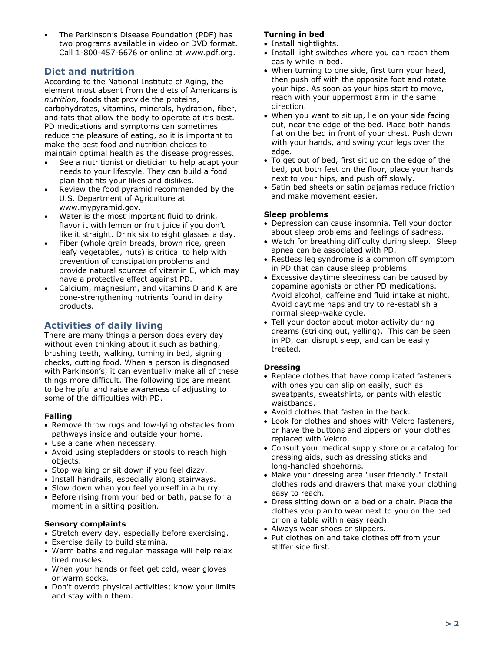• The Parkinson's Disease Foundation (PDF) has two programs available in video or DVD format. Call 1-800-457-6676 or online at www.pdf.org.

# **Diet and nutrition**

According to the National Institute of Aging, the element most absent from the diets of Americans is *nutrition*, foods that provide the proteins, carbohydrates, vitamins, minerals, hydration, fiber, and fats that allow the body to operate at it's best. PD medications and symptoms can sometimes reduce the pleasure of eating, so it is important to make the best food and nutrition choices to maintain optimal health as the disease progresses.

- See a nutritionist or dietician to help adapt your needs to your lifestyle. They can build a food plan that fits your likes and dislikes.
- Review the food pyramid recommended by the U.S. Department of Agriculture at www.mypyramid.gov.
- Water is the most important fluid to drink, flavor it with lemon or fruit juice if you don't like it straight. Drink six to eight glasses a day.
- Fiber (whole grain breads, brown rice, green leafy vegetables, nuts) is critical to help with prevention of constipation problems and provide natural sources of vitamin E, which may have a protective effect against PD.
- Calcium, magnesium, and vitamins D and K are bone-strengthening nutrients found in dairy products.

# **Activities of daily living**

There are many things a person does every day without even thinking about it such as bathing, brushing teeth, walking, turning in bed, signing checks, cutting food. When a person is diagnosed with Parkinson's, it can eventually make all of these things more difficult. The following tips are meant to be helpful and raise awareness of adjusting to some of the difficulties with PD.

## **Falling**

- Remove throw rugs and low-lying obstacles from pathways inside and outside your home.
- Use a cane when necessary.
- Avoid using stepladders or stools to reach high objects.
- Stop walking or sit down if you feel dizzy.
- Install handrails, especially along stairways.
- Slow down when you feel yourself in a hurry.
- Before rising from your bed or bath, pause for a moment in a sitting position.

## **Sensory complaints**

- Stretch every day, especially before exercising.
- Exercise daily to build stamina.
- Warm baths and regular massage will help relax tired muscles.
- When your hands or feet get cold, wear gloves or warm socks.
- Don't overdo physical activities; know your limits and stay within them.

#### **Turning in bed**

- Install nightlights.
- Install light switches where you can reach them easily while in bed.
- When turning to one side, first turn your head, then push off with the opposite foot and rotate your hips. As soon as your hips start to move, reach with your uppermost arm in the same direction.
- When you want to sit up, lie on your side facing out, near the edge of the bed. Place both hands flat on the bed in front of your chest. Push down with your hands, and swing your legs over the edge.
- To get out of bed, first sit up on the edge of the bed, put both feet on the floor, place your hands next to your hips, and push off slowly.
- Satin bed sheets or satin pajamas reduce friction and make movement easier.

#### **Sleep problems**

- Depression can cause insomnia. Tell your doctor about sleep problems and feelings of sadness.
- Watch for breathing difficulty during sleep. Sleep apnea can be associated with PD.
- Restless leg syndrome is a common off symptom in PD that can cause sleep problems.
- Excessive daytime sleepiness can be caused by dopamine agonists or other PD medications. Avoid alcohol, caffeine and fluid intake at night. Avoid daytime naps and try to re-establish a normal sleep-wake cycle.
- Tell your doctor about motor activity during dreams (striking out, yelling). This can be seen in PD, can disrupt sleep, and can be easily treated.

#### **Dressing**

- Replace clothes that have complicated fasteners with ones you can slip on easily, such as sweatpants, sweatshirts, or pants with elastic waistbands.
- Avoid clothes that fasten in the back.
- Look for clothes and shoes with Velcro fasteners, or have the buttons and zippers on your clothes replaced with Velcro.
- Consult your medical supply store or a catalog for dressing aids, such as dressing sticks and long-handled shoehorns.
- Make your dressing area "user friendly." Install clothes rods and drawers that make your clothing easy to reach.
- Dress sitting down on a bed or a chair. Place the clothes you plan to wear next to you on the bed or on a table within easy reach.
- Always wear shoes or slippers.
- Put clothes on and take clothes off from your stiffer side first.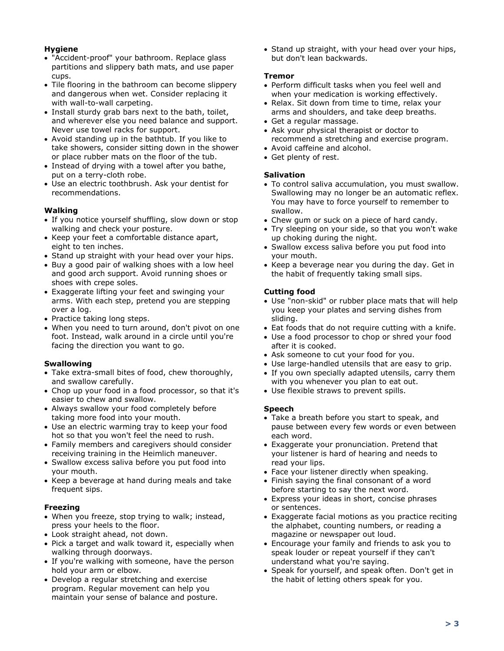## **Hygiene**

- "Accident-proof" your bathroom. Replace glass partitions and slippery bath mats, and use paper cups.
- Tile flooring in the bathroom can become slippery and dangerous when wet. Consider replacing it with wall-to-wall carpeting.
- Install sturdy grab bars next to the bath, toilet, and wherever else you need balance and support. Never use towel racks for support.
- Avoid standing up in the bathtub. If you like to take showers, consider sitting down in the shower or place rubber mats on the floor of the tub.
- Instead of drying with a towel after you bathe, put on a terry-cloth robe.
- Use an electric toothbrush. Ask your dentist for recommendations.

## **Walking**

- If you notice yourself shuffling, slow down or stop walking and check your posture.
- Keep your feet a comfortable distance apart, eight to ten inches.
- Stand up straight with your head over your hips.
- Buy a good pair of walking shoes with a low heel and good arch support. Avoid running shoes or shoes with crepe soles.
- Exaggerate lifting your feet and swinging your arms. With each step, pretend you are stepping over a log.
- Practice taking long steps.
- When you need to turn around, don't pivot on one foot. Instead, walk around in a circle until you're facing the direction you want to go.

## **Swallowing**

- Take extra-small bites of food, chew thoroughly, and swallow carefully.
- Chop up your food in a food processor, so that it's easier to chew and swallow.
- Always swallow your food completely before taking more food into your mouth.
- Use an electric warming tray to keep your food hot so that you won't feel the need to rush.
- Family members and caregivers should consider receiving training in the Heimlich maneuver.
- Swallow excess saliva before you put food into your mouth.
- Keep a beverage at hand during meals and take frequent sips.

## **Freezing**

- When you freeze, stop trying to walk; instead, press your heels to the floor.
- Look straight ahead, not down.
- Pick a target and walk toward it, especially when walking through doorways.
- If you're walking with someone, have the person hold your arm or elbow.
- Develop a regular stretching and exercise program. Regular movement can help you maintain your sense of balance and posture.

• Stand up straight, with your head over your hips, but don't lean backwards.

#### **Tremor**

- Perform difficult tasks when you feel well and when your medication is working effectively.
- Relax. Sit down from time to time, relax your arms and shoulders, and take deep breaths.
- Get a regular massage.
- Ask your physical therapist or doctor to recommend a stretching and exercise program.
- Avoid caffeine and alcohol.
- Get plenty of rest.

## **Salivation**

- To control saliva accumulation, you must swallow. Swallowing may no longer be an automatic reflex. You may have to force yourself to remember to swallow.
- Chew gum or suck on a piece of hard candy.
- Try sleeping on your side, so that you won't wake up choking during the night.
- Swallow excess saliva before you put food into your mouth.
- Keep a beverage near you during the day. Get in the habit of frequently taking small sips.

## **Cutting food**

- Use "non-skid" or rubber place mats that will help you keep your plates and serving dishes from sliding.
- Eat foods that do not require cutting with a knife.
- Use a food processor to chop or shred your food after it is cooked.
- Ask someone to cut your food for you.
- Use large-handled utensils that are easy to grip.
- If you own specially adapted utensils, carry them with you whenever you plan to eat out.
- Use flexible straws to prevent spills.

## **Speech**

- Take a breath before you start to speak, and pause between every few words or even between each word.
- Exaggerate your pronunciation. Pretend that your listener is hard of hearing and needs to read your lips.
- Face your listener directly when speaking.
- Finish saying the final consonant of a word before starting to say the next word.
- Express your ideas in short, concise phrases or sentences.
- Exaggerate facial motions as you practice reciting the alphabet, counting numbers, or reading a magazine or newspaper out loud.
- Encourage your family and friends to ask you to speak louder or repeat yourself if they can't understand what you're saying.
- Speak for yourself, and speak often. Don't get in the habit of letting others speak for you.